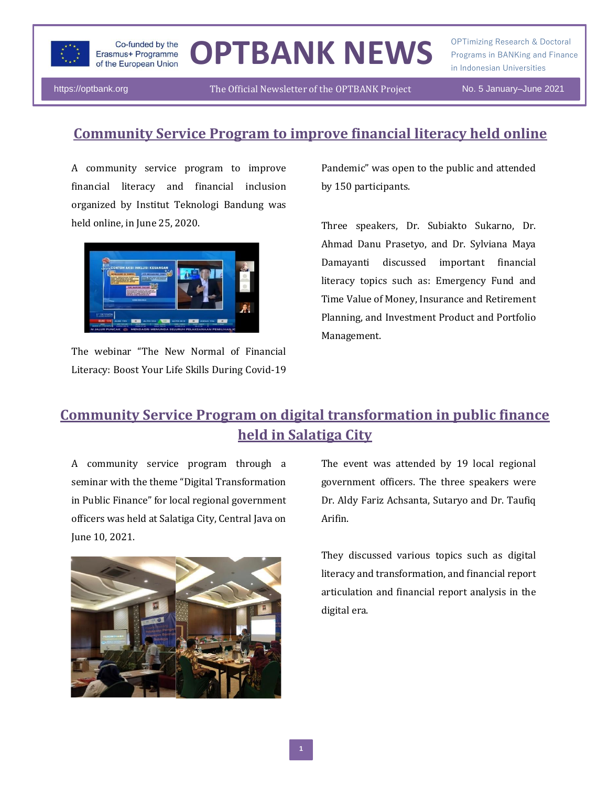

# OPTBANK NEWS **Programs in BANKing and Finance**

OPTimizing Research & Doctoral in Indonesian Universities

https://optbank.org The Official Newsletter of the OPTBANK Project No. 5 January–June 2021

#### **Community Service Program to improve financial literacy held online**

A community service program to improve financial literacy and financial inclusion organized by Institut Teknologi Bandung was held online, in June 25, 2020.



The webinar "The New Normal of Financial Literacy: Boost Your Life Skills During Covid-19

Pandemic" was open to the public and attended by 150 participants.

Three speakers, Dr. Subiakto Sukarno, Dr. Ahmad Danu Prasetyo, and Dr. Sylviana Maya Damayanti discussed important financial literacy topics such as: Emergency Fund and Time Value of Money, Insurance and Retirement Planning, and Investment Product and Portfolio Management.

### **Community Service Program on digital transformation in public finance held in Salatiga City**

A community service program through a seminar with the theme "Digital Transformation in Public Finance" for local regional government officers was held at Salatiga City, Central Java on June 10, 2021.



The event was attended by 19 local regional government officers. The three speakers were Dr. Aldy Fariz Achsanta, Sutaryo and Dr. Taufiq Arifin.

They discussed various topics such as digital literacy and transformation, and financial report articulation and financial report analysis in the digital era.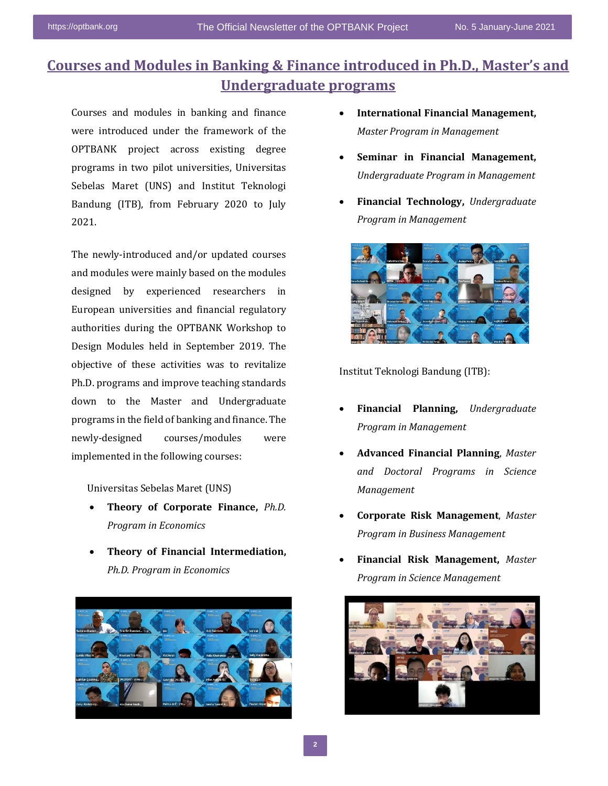#### **Courses and Modules in Banking & Finance introduced in Ph.D., Master's and Undergraduate programs**

Courses and modules in banking and finance were introduced under the framework of the OPTBANK project across existing degree programs in two pilot universities, Universitas Sebelas Maret (UNS) and Institut Teknologi Bandung (ITB), from February 2020 to July 2021.

The newly-introduced and/or updated courses and modules were mainly based on the modules designed by experienced researchers in European universities and financial regulatory authorities during the OPTBANK Workshop to Design Modules held in September 2019. The objective of these activities was to revitalize Ph.D. programs and improve teaching standards down to the Master and Undergraduate programs in the field of banking and finance. The newly-designed courses/modules were implemented in the following courses:

Universitas Sebelas Maret (UNS)

- **Theory of Corporate Finance,** *Ph.D. Program in Economics*
- **Theory of Financial Intermediation,**  *Ph.D. Program in Economics*



- **International Financial Management,** *Master Program in Management*
- **Seminar in Financial Management,**  *Undergraduate Program in Management*
- **Financial Technology,** *Undergraduate Program in Management*



Institut Teknologi Bandung (ITB):

- **Financial Planning,** *Undergraduate Program in Management*
- **Advanced Financial Planning**, *Master and Doctoral Programs in Science Management*
- **Corporate Risk Management**, *Master Program in Business Management*
- **Financial Risk Management,** *Master Program in Science Management*

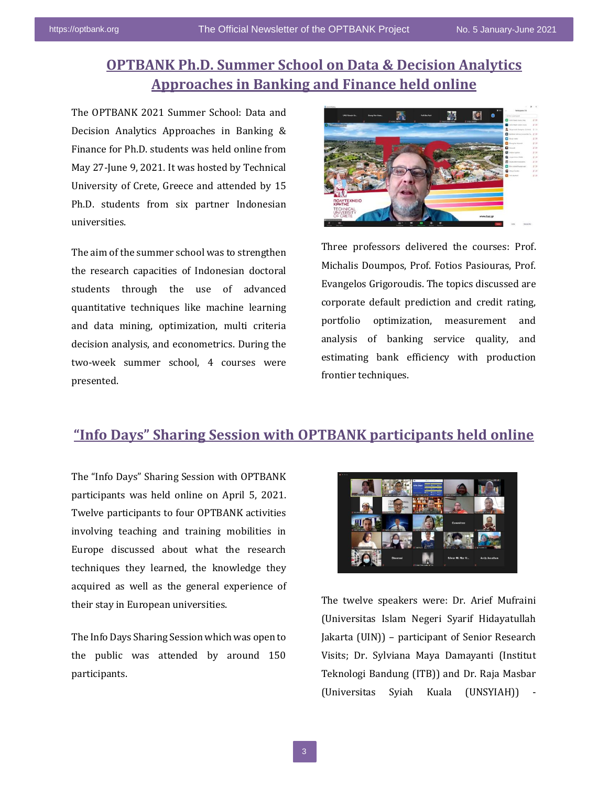#### **OPTBANK Ph.D. Summer School on Data & Decision Analytics Approaches in Banking and Finance held online**

The OPTBANK 2021 Summer School: Data and Decision Analytics Approaches in Banking & Finance for Ph.D. students was held online from May 27-June 9, 2021. It was hosted by Technical University of Crete, Greece and attended by 15 Ph.D. students from six partner Indonesian universities.

The aim of the summer school was to strengthen the research capacities of Indonesian doctoral students through the use of advanced quantitative techniques like machine learning and data mining, optimization, multi criteria decision analysis, and econometrics. During the two-week summer school, 4 courses were presented.



Three professors delivered the courses: Prof. Michalis Doumpos, Prof. Fotios Pasiouras, Prof. Evangelos Grigoroudis. The topics discussed are corporate default prediction and credit rating, portfolio optimization, measurement and analysis of banking service quality, and estimating bank efficiency with production frontier techniques.

#### **"Info Days" Sharing Session with OPTBANK participants held online**

The "Info Days" Sharing Session with OPTBANK participants was held online on April 5, 2021. Twelve participants to four OPTBANK activities involving teaching and training mobilities in Europe discussed about what the research techniques they learned, the knowledge they acquired as well as the general experience of their stay in European universities.

The Info Days Sharing Session which was open to the public was attended by around 150 participants.



The twelve speakers were: Dr. Arief Mufraini (Universitas Islam Negeri Syarif Hidayatullah Jakarta (UIN)) – participant of Senior Research Visits; Dr. Sylviana Maya Damayanti (Institut Teknologi Bandung (ITB)) and Dr. Raja Masbar (Universitas Syiah Kuala (UNSYIAH)) -